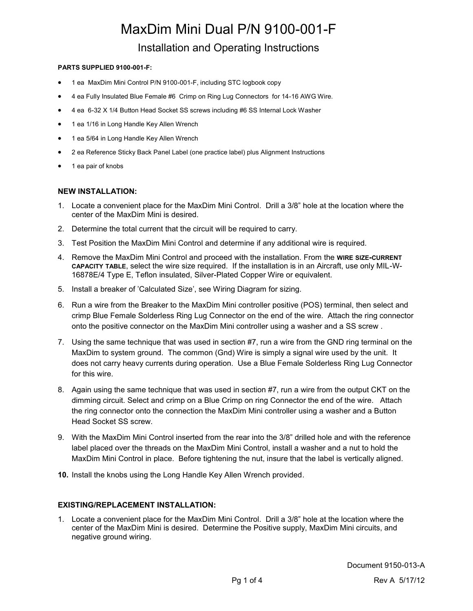# MaxDim Mini Dual P/N 9100-001-F Installation and Operating Instructions

#### **PARTS SUPPLIED 9100-001-F:**

- 1 ea MaxDim Mini Control P/N 9100-001-F, including STC logbook copy
- 4 ea Fully Insulated Blue Female #6 Crimp on Ring Lug Connectors for 14-16 AWG Wire.
- 4 ea 6-32 X 1/4 Button Head Socket SS screws including #6 SS Internal Lock Washer
- 1 ea 1/16 in Long Handle Key Allen Wrench
- 1 ea 5/64 in Long Handle Key Allen Wrench
- 2 ea Reference Sticky Back Panel Label (one practice label) plus Alignment Instructions
- 1 ea pair of knobs

#### **NEW INSTALLATION:**

- 1. Locate a convenient place for the MaxDim Mini Control. Drill a 3/8" hole at the location where the center of the MaxDim Mini is desired.
- 2. Determine the total current that the circuit will be required to carry.
- 3. Test Position the MaxDim Mini Control and determine if any additional wire is required.
- 4. Remove the MaxDim Mini Control and proceed with the installation. From the **WIRE SIZE-CURRENT CAPACITY TABLE**, select the wire size required. If the installation is in an Aircraft, use only MIL-W-16878E/4 Type E, Teflon insulated, Silver-Plated Copper Wire or equivalent.
- 5. Install a breaker of 'Calculated Size', see Wiring Diagram for sizing.
- 6. Run a wire from the Breaker to the MaxDim Mini controller positive (POS) terminal, then select and crimp Blue Female Solderless Ring Lug Connector on the end of the wire. Attach the ring connector onto the positive connector on the MaxDim Mini controller using a washer and a SS screw .
- 7. Using the same technique that was used in section #7, run a wire from the GND ring terminal on the MaxDim to system ground. The common (Gnd) Wire is simply a signal wire used by the unit. It does not carry heavy currents during operation. Use a Blue Female Solderless Ring Lug Connector for this wire.
- 8. Again using the same technique that was used in section #7, run a wire from the output CKT on the dimming circuit. Select and crimp on a Blue Crimp on ring Connector the end of the wire. Attach the ring connector onto the connection the MaxDim Mini controller using a washer and a Button Head Socket SS screw.
- 9. With the MaxDim Mini Control inserted from the rear into the 3/8" drilled hole and with the reference label placed over the threads on the MaxDim Mini Control, install a washer and a nut to hold the MaxDim Mini Control in place. Before tightening the nut, insure that the label is vertically aligned.
- **10.** Install the knobs using the Long Handle Key Allen Wrench provided.

#### **EXISTING/REPLACEMENT INSTALLATION:**

1. Locate a convenient place for the MaxDim Mini Control. Drill a 3/8" hole at the location where the center of the MaxDim Mini is desired. Determine the Positive supply, MaxDim Mini circuits, and negative ground wiring.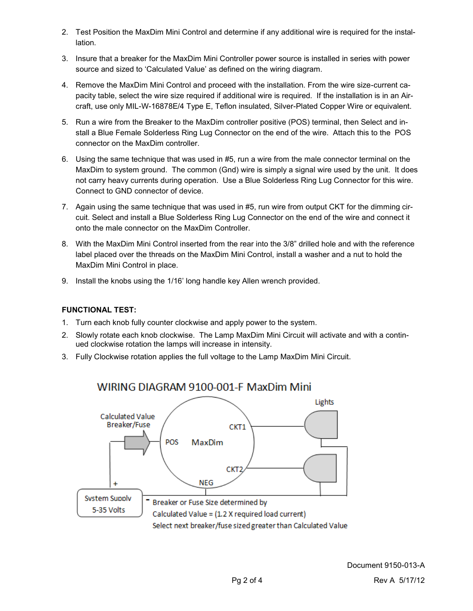- 2. Test Position the MaxDim Mini Control and determine if any additional wire is required for the installation.
- 3. Insure that a breaker for the MaxDim Mini Controller power source is installed in series with power source and sized to 'Calculated Value' as defined on the wiring diagram.
- 4. Remove the MaxDim Mini Control and proceed with the installation. From the wire size-current capacity table, select the wire size required if additional wire is required. If the installation is in an Aircraft, use only MIL-W-16878E/4 Type E, Teflon insulated, Silver-Plated Copper Wire or equivalent.
- 5. Run a wire from the Breaker to the MaxDim controller positive (POS) terminal, then Select and install a Blue Female Solderless Ring Lug Connector on the end of the wire. Attach this to the POS connector on the MaxDim controller.
- 6. Using the same technique that was used in #5, run a wire from the male connector terminal on the MaxDim to system ground. The common (Gnd) wire is simply a signal wire used by the unit. It does not carry heavy currents during operation. Use a Blue Solderless Ring Lug Connector for this wire. Connect to GND connector of device.
- 7. Again using the same technique that was used in #5, run wire from output CKT for the dimming circuit. Select and install a Blue Solderless Ring Lug Connector on the end of the wire and connect it onto the male connector on the MaxDim Controller.
- 8. With the MaxDim Mini Control inserted from the rear into the 3/8" drilled hole and with the reference label placed over the threads on the MaxDim Mini Control, install a washer and a nut to hold the MaxDim Mini Control in place.
- 9. Install the knobs using the 1/16' long handle key Allen wrench provided.

### **FUNCTIONAL TEST:**

- 1. Turn each knob fully counter clockwise and apply power to the system.
- 2. Slowly rotate each knob clockwise. The Lamp MaxDim Mini Circuit will activate and with a continued clockwise rotation the lamps will increase in intensity.
- 3. Fully Clockwise rotation applies the full voltage to the Lamp MaxDim Mini Circuit.



## WIRING DIAGRAM 9100-001-F MaxDim Mini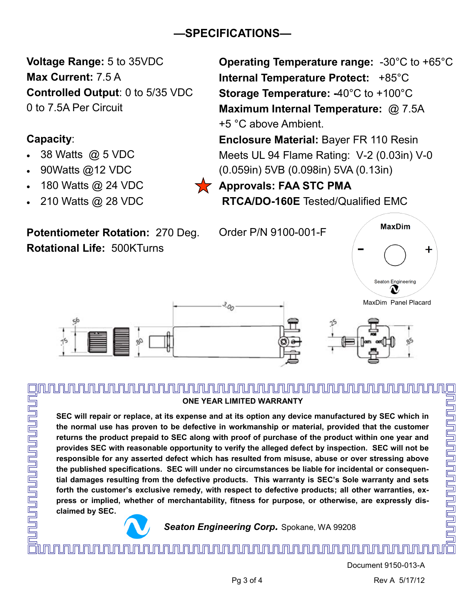# **—SPECIFICATIONS—**

**Voltage Range:** 5 to 35VDC **Max Current:** 7.5 A **Controlled Output**: 0 to 5/35 VDC 0 to 7.5A Per Circuit

# **Capacity**:

<u>unununununununununununun sahara adalah sebagai dalam sebagai dalam sebagai dalam sebagai dalam sebagai dalam </u>

- 38 Watts @ 5 VDC
- 90Watts @12 VDC
- 180 Watts @ 24 VDC
- 210 Watts @ 28 VDC

**Potentiometer Rotation:** 270 Deg. **Rotational Life:** 500KTurns

**Operating Temperature range:** -30°C to +65°C **Internal Temperature Protect:** +85°C **Storage Temperature: -**40°C to +100°C **Maximum Internal Temperature:** @ 7.5A +5 °C above Ambient.

**Enclosure Material:** Bayer FR 110 Resin Meets UL 94 Flame Rating: V-2 (0.03in) V-0 (0.059in) 5VB (0.098in) 5VA (0.13in)

**Approvals: FAA STC PMA RTCA/DO-160E** Tested/Qualified EMC

Order P/N 9100-001-F





# **ONE YEAR LIMITED WARRANTY**

**SEC will repair or replace, at its expense and at its option any device manufactured by SEC which in the normal use has proven to be defective in workmanship or material, provided that the customer returns the product prepaid to SEC along with proof of purchase of the product within one year and provides SEC with reasonable opportunity to verify the alleged defect by inspection. SEC will not be responsible for any asserted defect which has resulted from misuse, abuse or over stressing above the published specifications. SEC will under no circumstances be liable for incidental or consequential damages resulting from the defective products. This warranty is SEC's Sole warranty and sets forth the customer's exclusive remedy, with respect to defective products; all other warranties, express or implied, whether of merchantability, fitness for purpose, or otherwise, are expressly disclaimed by SEC.**



*Seaton Engineering Corp.* Spokane, WA 99208

Document 9150-013-A Pg 3 of 4 Rev A 5/17/12

<u>IN NUMUN NUMUN NUMUN NUMUN NUMUN NUMUN NUMUN NUMUN NUMUN NUMUN NU</u>